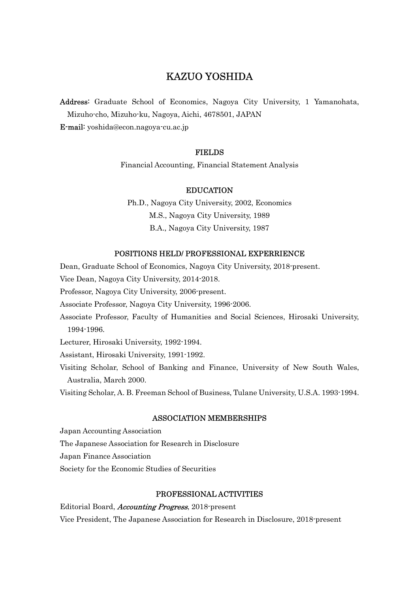# KAZUO YOSHIDA

Address: Graduate School of Economics, Nagoya City University, 1 Yamanohata, Mizuho-cho, Mizuho-ku, Nagoya, Aichi, 4678501, JAPAN E-mail: yoshida@econ.nagoya-cu.ac.jp

# FIELDS

Financial Accounting, Financial Statement Analysis

# EDUCATION

Ph.D., Nagoya City University, 2002, Economics M.S., Nagoya City University, 1989 B.A., Nagoya City University, 1987

#### POSITIONS HELD/ PROFESSIONAL EXPERRIENCE

Dean, Graduate School of Economics, Nagoya City University, 2018-present.

Vice Dean, Nagoya City University, 2014-2018.

Professor, Nagoya City University, 2006-present.

Associate Professor, Nagoya City University, 1996-2006.

Associate Professor, Faculty of Humanities and Social Sciences, Hirosaki University, 1994-1996.

Lecturer, Hirosaki University, 1992-1994.

Assistant, Hirosaki University, 1991-1992.

Visiting Scholar, School of Banking and Finance, University of New South Wales, Australia, March 2000.

Visiting Scholar, A. B. Freeman School of Business, Tulane University, U.S.A. 1993-1994.

### ASSOCIATION MEMBERSHIPS

Japan Accounting Association

The Japanese Association for Research in Disclosure

Japan Finance Association

Society for the Economic Studies of Securities

## PROFESSIONAL ACTIVITIES

Editorial Board, *Accounting Progress*, 2018-present Vice President, The Japanese Association for Research in Disclosure, 2018-present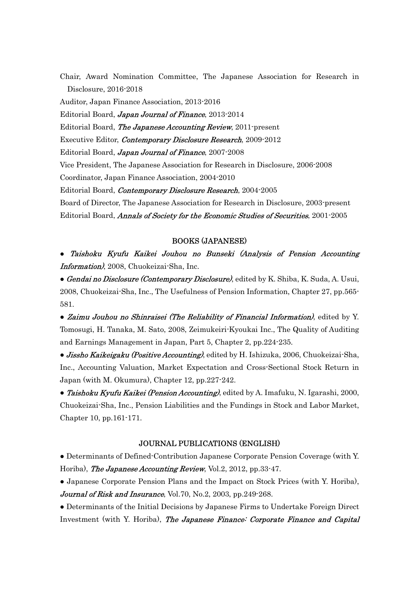Chair, Award Nomination Committee, The Japanese Association for Research in Disclosure, 2016-2018

Auditor, Japan Finance Association, 2013-2016

Editorial Board, Japan Journal of Finance, 2013-2014

Editorial Board, The Japanese Accounting Review, 2011-present

Executive Editor, *Contemporary Disclosure Research*, 2009-2012

Editorial Board, Japan Journal of Finance, 2007-2008

Vice President, The Japanese Association for Research in Disclosure, 2006-2008 Coordinator, Japan Finance Association, 2004-2010

Editorial Board, Contemporary Disclosure Research, 2004-2005

Board of Director, The Japanese Association for Research in Disclosure, 2003-present Editorial Board, Annals of Society for the Economic Studies of Securities, 2001-2005

## BOOKS (JAPANESE)

● Taishoku Kyufu Kaikei Jouhou no Bunseki (Analysis of Pension Accounting Information), 2008, Chuokeizai-Sha, Inc.

**• Gendai no Disclosure (Contemporary Disclosure)**, edited by K. Shiba, K. Suda, A. Usui, 2008, Chuokeizai-Sha, Inc., The Usefulness of Pension Information, Chapter 27, pp.565- 581.

• Zaimu Jouhou no Shinraisei (The Reliability of Financial Information), edited by Y. Tomosugi, H. Tanaka, M. Sato, 2008, Zeimukeiri-Kyoukai Inc., The Quality of Auditing and Earnings Management in Japan, Part 5, Chapter 2, pp.224-235.

**• Jissho Kaikeigaku (Positive Accounting)**, edited by H. Ishizuka, 2006, Chuokeizai-Sha, Inc., Accounting Valuation, Market Expectation and Cross-Sectional Stock Return in Japan (with M. Okumura), Chapter 12, pp.227-242.

• Taishoku Kyufu Kaikei (Pension Accounting), edited by A. Imafuku, N. Igarashi, 2000, Chuokeizai-Sha, Inc., Pension Liabilities and the Fundings in Stock and Labor Market, Chapter 10, pp.161-171.

# JOURNAL PUBLICATIONS (ENGLISH)

● Determinants of Defined-Contribution Japanese Corporate Pension Coverage (with Y. Horiba), The Japanese Accounting Review, Vol.2, 2012, pp.33-47.

● Japanese Corporate Pension Plans and the Impact on Stock Prices (with Y. Horiba), Journal of Risk and Insurance, Vol. 70, No. 2, 2003, pp. 249-268.

● Determinants of the Initial Decisions by Japanese Firms to Undertake Foreign Direct Investment (with Y. Horiba), The Japanese Finance: Corporate Finance and Capital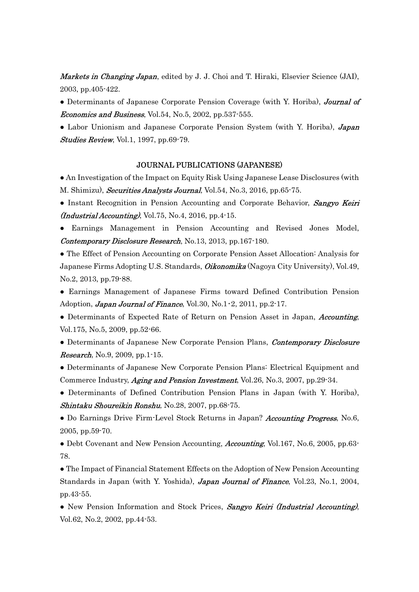**Markets in Changing Japan**, edited by J. J. Choi and T. Hiraki, Elsevier Science (JAI), 2003, pp.405-422.

• Determinants of Japanese Corporate Pension Coverage (with Y. Horiba), Journal of *Economics and Business*, Vol.54, No.5, 2002, pp.537-555.

• Labor Unionism and Japanese Corporate Pension System (with Y. Horiba), **Japan** Studies Review, Vol.1, 1997, pp.69-79.

# JOURNAL PUBLICATIONS (JAPANESE)

● An Investigation of the Impact on Equity Risk Using Japanese Lease Disclosures (with M. Shimizu), Securities Analysts Journal, Vol.54, No.3, 2016, pp.65-75.

- Instant Recognition in Pension Accounting and Corporate Behavior, Sangyo Keiri  $(Industrial According, Vol.75, No.4, 2016, pp.4-15.$
- Earnings Management in Pension Accounting and Revised Jones Model, Contemporary Disclosure Research, No.13, 2013, pp.167-180.

● The Effect of Pension Accounting on Corporate Pension Asset Allocation: Analysis for Japanese Firms Adopting U.S. Standards, *Oikonomika* (Nagoya City University), Vol.49, No.2, 2013, pp.79-88.

● Earnings Management of Japanese Firms toward Defined Contribution Pension Adoption, Japan Journal of Finance, Vol.30, No.1 $\cdot$ 2, 2011, pp.2 $\cdot$ 17.

• Determinants of Expected Rate of Return on Pension Asset in Japan, *Accounting*, Vol.175, No.5, 2009, pp.52-66.

• Determinants of Japanese New Corporate Pension Plans, Contemporary Disclosure **Research**, No.9, 2009, pp.1-15.

● Determinants of Japanese New Corporate Pension Plans: Electrical Equipment and Commerce Industry, *Aging and Pension Investment*, Vol.26, No.3, 2007, pp.29-34.

• Determinants of Defined Contribution Pension Plans in Japan (with Y. Horiba), Shintaku Shoureikin Ronshu, No.28, 2007, pp.68-75.

• Do Earnings Drive Firm-Level Stock Returns in Japan? Accounting Progress, No.6, 2005, pp.59-70.

• Debt Covenant and New Pension Accounting, *Accounting*, Vol.167, No.6, 2005, pp.63-78.

● The Impact of Financial Statement Effects on the Adoption of New Pension Accounting Standards in Japan (with Y. Yoshida), **Japan Journal of Finance**, Vol.23, No.1, 2004, pp.43-55.

• New Pension Information and Stock Prices, Sangyo Keiri (Industrial Accounting), Vol.62, No.2, 2002, pp.44-53.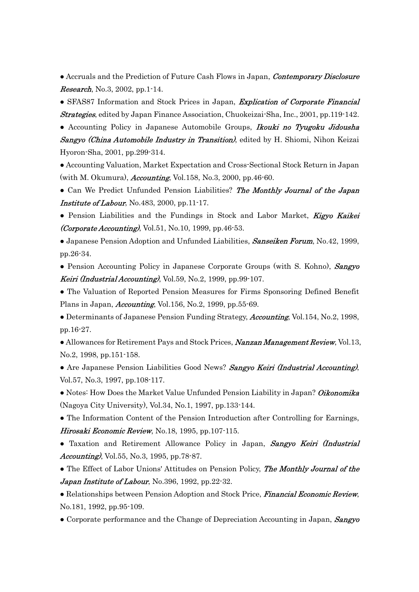• Accruals and the Prediction of Future Cash Flows in Japan, *Contemporary Disclosure* **Research**, No.3, 2002, pp.1-14.

• SFAS87 Information and Stock Prices in Japan, *Explication of Corporate Financial* **Strategies**, edited by Japan Finance Association, Chuokeizai-Sha, Inc., 2001, pp.119-142.

• Accounting Policy in Japanese Automobile Groups, Ikouki no Tyugoku Jidousha **Sangyo (China Automobile Industry in Transition)**, edited by H. Shiomi, Nihon Keizai Hyoron-Sha, 2001, pp.299-314.

● Accounting Valuation, Market Expectation and Cross-Sectional Stock Return in Japan (with M. Okumura), *Accounting*, Vol.158, No.3, 2000, pp.46-60.

• Can We Predict Unfunded Pension Liabilities? The Monthly Journal of the Japan Institute of Labour, No.483, 2000, pp.11-17.

• Pension Liabilities and the Fundings in Stock and Labor Market, Kigyo Kaikei *(Corporate Accounting)*, Vol.51, No.10, 1999, pp.46-53.

• Japanese Pension Adoption and Unfunded Liabilities, **Sanseiken Forum**, No.42, 1999, pp.26-34.

• Pension Accounting Policy in Japanese Corporate Groups (with S. Kohno), Sangyo Keiri (Industrial Accounting), Vol.59, No.2, 1999, pp.99 $\cdot$ 107.

● The Valuation of Reported Pension Measures for Firms Sponsoring Defined Benefit Plans in Japan, *Accounting*, Vol.156, No.2, 1999, pp.55-69.

• Determinants of Japanese Pension Funding Strategy, *Accounting*, Vol.154, No.2, 1998, pp.16-27.

• Allowances for Retirement Pays and Stock Prices, Nanzan Management Review, Vol.13, No.2, 1998, pp.151-158.

• Are Japanese Pension Liabilities Good News? Sangyo Keiri (Industrial Accounting), Vol.57, No.3, 1997, pp.108-117.

• Notes: How Does the Market Value Unfunded Pension Liability in Japan? Oikonomika (Nagoya City University), Vol.34, No.1, 1997, pp.133-144.

● The Information Content of the Pension Introduction after Controlling for Earnings, Hirosaki Economic Review, No.18, 1995, pp.107-115.

• Taxation and Retirement Allowance Policy in Japan, Sangyo Keiri (Industrial Accounting), Vol.55, No.3, 1995, pp.78-87.

• The Effect of Labor Unions' Attitudes on Pension Policy, The Monthly Journal of the Japan Institute of Labour, No.396, 1992, pp.22-32.

• Relationships between Pension Adoption and Stock Price, *Financial Economic Review*, No.181, 1992, pp.95-109.

• Corporate performance and the Change of Depreciation Accounting in Japan, Sangyo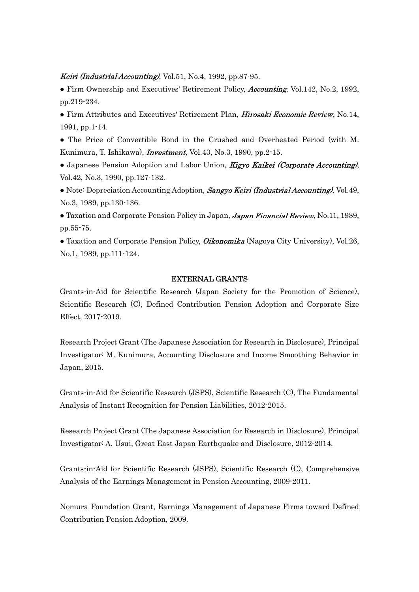#### *Keiri (Industrial Accounting)*, Vol.51, No.4, 1992, pp.87-95.

• Firm Ownership and Executives' Retirement Policy, Accounting, Vol.142, No.2, 1992, pp.219-234.

• Firm Attributes and Executives' Retirement Plan, *Hirosaki Economic Review*, No.14, 1991, pp.1-14.

- The Price of Convertible Bond in the Crushed and Overheated Period (with M. Kunimura, T. Ishikawa), *Investment*, Vol.43, No.3, 1990, pp.2-15.
- Japanese Pension Adoption and Labor Union, Kigyo Kaikei (Corporate Accounting), Vol.42, No.3, 1990, pp.127-132.
- Note: Depreciation Accounting Adoption, Sangyo Keiri (Industrial Accounting), Vol.49, No.3, 1989, pp.130-136.
- Taxation and Corporate Pension Policy in Japan, Japan Financial Review, No.11, 1989, pp.55-75.
- Taxation and Corporate Pension Policy, *Oikonomika* (Nagoya City University), Vol.26, No.1, 1989, pp.111-124.

#### EXTERNAL GRANTS

Grants-in-Aid for Scientific Research (Japan Society for the Promotion of Science), Scientific Research (C), Defined Contribution Pension Adoption and Corporate Size Effect, 2017-2019.

Research Project Grant (The Japanese Association for Research in Disclosure), Principal Investigator: M. Kunimura, Accounting Disclosure and Income Smoothing Behavior in Japan, 2015.

Grants-in-Aid for Scientific Research (JSPS), Scientific Research (C), The Fundamental Analysis of Instant Recognition for Pension Liabilities, 2012-2015.

Research Project Grant (The Japanese Association for Research in Disclosure), Principal Investigator: A. Usui, Great East Japan Earthquake and Disclosure, 2012-2014.

Grants-in-Aid for Scientific Research (JSPS), Scientific Research (C), Comprehensive Analysis of the Earnings Management in Pension Accounting, 2009-2011.

Nomura Foundation Grant, Earnings Management of Japanese Firms toward Defined Contribution Pension Adoption, 2009.